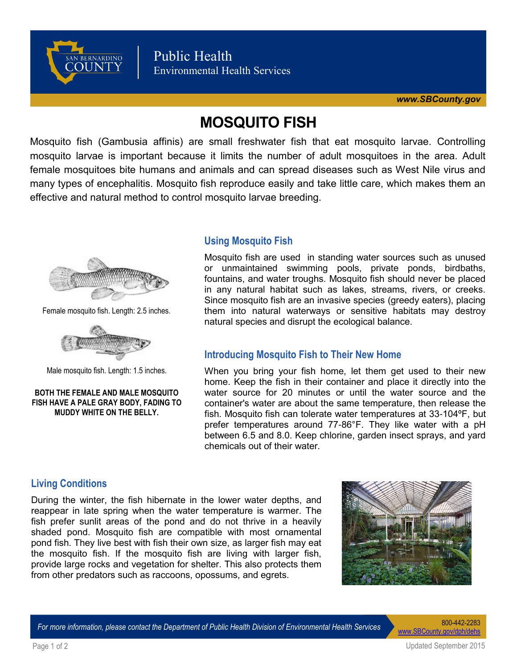

# **MOSQUITO FISH**

Mosquito fish (Gambusia affinis) are small freshwater fish that eat mosquito larvae. Controlling mosquito larvae is important because it limits the number of adult mosquitoes in the area. Adult female mosquitoes bite humans and animals and can spread diseases such as West Nile virus and many types of encephalitis. Mosquito fish reproduce easily and take little care, which makes them an effective and natural method to control mosquito larvae breeding.



Female mosquito fish. Length: 2.5 inches.



Male mosquito fish. Length: 1.5 inches.

#### **BOTH THE FEMALE AND MALE MOSQUITO FISH HAVE A PALE GRAY BODY, FADING TO MUDDY WHITE ON THE BELLY.**

# **Using Mosquito Fish**

Mosquito fish are used in standing water sources such as unused or unmaintained swimming pools, private ponds, birdbaths, fountains, and water troughs. Mosquito fish should never be placed in any natural habitat such as lakes, streams, rivers, or creeks. Since mosquito fish are an invasive species (greedy eaters), placing them into natural waterways or sensitive habitats may destroy natural species and disrupt the ecological balance.

# **Introducing Mosquito Fish to Their New Home**

When you bring your fish home, let them get used to their new home. Keep the fish in their container and place it directly into the water source for 20 minutes or until the water source and the container's water are about the same temperature, then release the fish. Mosquito fish can tolerate water temperatures at 33-104ºF, but prefer temperatures around 77-86°F. They like water with a pH between 6.5 and 8.0. Keep chlorine, garden insect sprays, and yard chemicals out of their water.

# **Living Conditions**

During the winter, the fish hibernate in the lower water depths, and reappear in late spring when the water temperature is warmer. The fish prefer sunlit areas of the pond and do not thrive in a heavily shaded pond. Mosquito fish are compatible with most ornamental pond fish. They live best with fish their own size, as larger fish may eat the mosquito fish. If the mosquito fish are living with larger fish, provide large rocks and vegetation for shelter. This also protects them from other predators such as raccoons, opossums, and egrets.



*For more information, please contact the Department of Public Health Division of Environmental Health Services* 800-442-2283

[www.SBCounty.gov/dph/dehs](http://www.SBCounty.gov/dph/dehs)